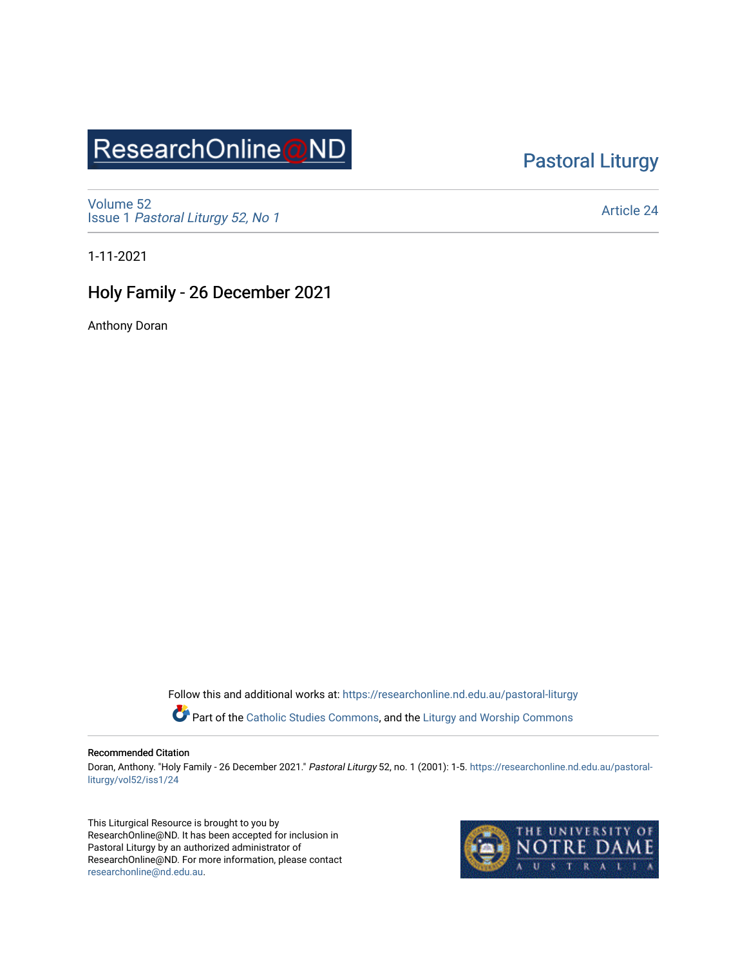# ResearchOnline@ND

### [Pastoral Liturgy](https://researchonline.nd.edu.au/pastoral-liturgy)

[Volume 52](https://researchonline.nd.edu.au/pastoral-liturgy/vol52) Issue 1 [Pastoral Liturgy 52, No 1](https://researchonline.nd.edu.au/pastoral-liturgy/vol52/iss1)

[Article 24](https://researchonline.nd.edu.au/pastoral-liturgy/vol52/iss1/24) 

1-11-2021

### Holy Family - 26 December 2021

Anthony Doran

Follow this and additional works at: [https://researchonline.nd.edu.au/pastoral-liturgy](https://researchonline.nd.edu.au/pastoral-liturgy?utm_source=researchonline.nd.edu.au%2Fpastoral-liturgy%2Fvol52%2Fiss1%2F24&utm_medium=PDF&utm_campaign=PDFCoverPages)

Part of the [Catholic Studies Commons,](http://network.bepress.com/hgg/discipline/1294?utm_source=researchonline.nd.edu.au%2Fpastoral-liturgy%2Fvol52%2Fiss1%2F24&utm_medium=PDF&utm_campaign=PDFCoverPages) and the Liturgy and Worship Commons

#### Recommended Citation

Doran, Anthony. "Holy Family - 26 December 2021." Pastoral Liturgy 52, no. 1 (2001): 1-5. [https://researchonline.nd.edu.au/pastoral](https://researchonline.nd.edu.au/pastoral-liturgy/vol52/iss1/24?utm_source=researchonline.nd.edu.au%2Fpastoral-liturgy%2Fvol52%2Fiss1%2F24&utm_medium=PDF&utm_campaign=PDFCoverPages)[liturgy/vol52/iss1/24](https://researchonline.nd.edu.au/pastoral-liturgy/vol52/iss1/24?utm_source=researchonline.nd.edu.au%2Fpastoral-liturgy%2Fvol52%2Fiss1%2F24&utm_medium=PDF&utm_campaign=PDFCoverPages) 

This Liturgical Resource is brought to you by ResearchOnline@ND. It has been accepted for inclusion in Pastoral Liturgy by an authorized administrator of ResearchOnline@ND. For more information, please contact [researchonline@nd.edu.au.](mailto:researchonline@nd.edu.au)

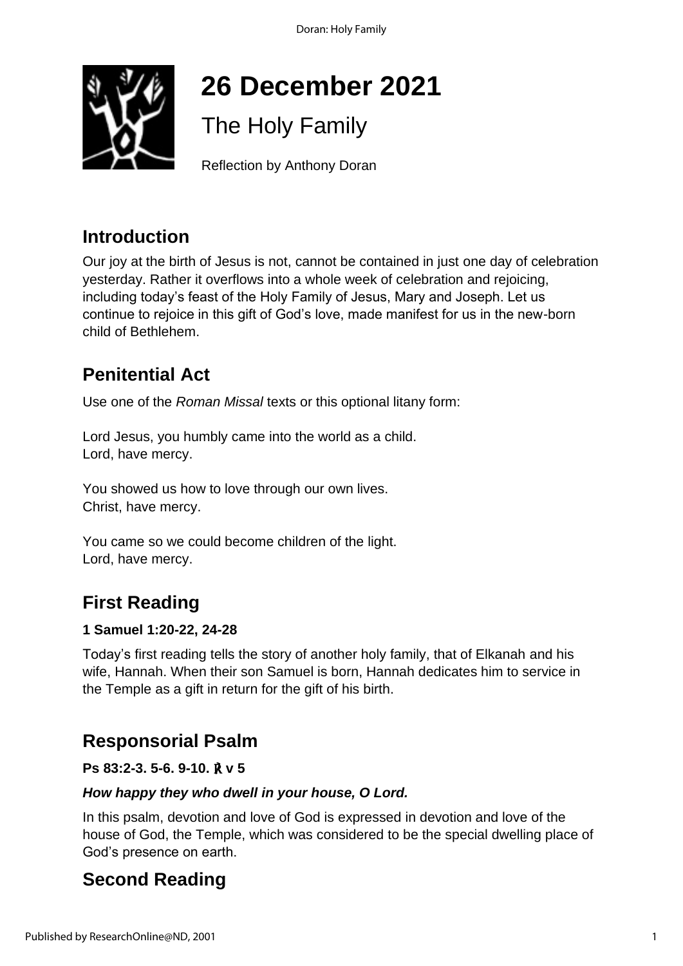Doran: Holy Family



# **26 December 2021**

## The Holy Family

Reflection by Anthony Doran

## **Introduction**

Our joy at the birth of Jesus is not, cannot be contained in just one day of celebration yesterday. Rather it overflows into a whole week of celebration and rejoicing, including today's feast of the Holy Family of Jesus, Mary and Joseph. Let us continue to rejoice in this gift of God's love, made manifest for us in the new-born child of Bethlehem.

## **Penitential Act**

Use one of the *Roman Missal* texts or this optional litany form:

Lord Jesus, you humbly came into the world as a child. Lord, have mercy.

You showed us how to love through our own lives. Christ, have mercy.

You came so we could become children of the light. Lord, have mercy.

## **First Reading**

### **1 Samuel 1:20-22, 24-28**

Today's first reading tells the story of another holy family, that of Elkanah and his wife, Hannah. When their son Samuel is born, Hannah dedicates him to service in the Temple as a gift in return for the gift of his birth.

## **Responsorial Psalm**

### **Ps 83:2-3. 5-6. 9-10.** ℟ **v 5**

### *How happy they who dwell in your house, O Lord.*

In this psalm, devotion and love of God is expressed in devotion and love of the house of God, the Temple, which was considered to be the special dwelling place of God's presence on earth.

## **Second Reading**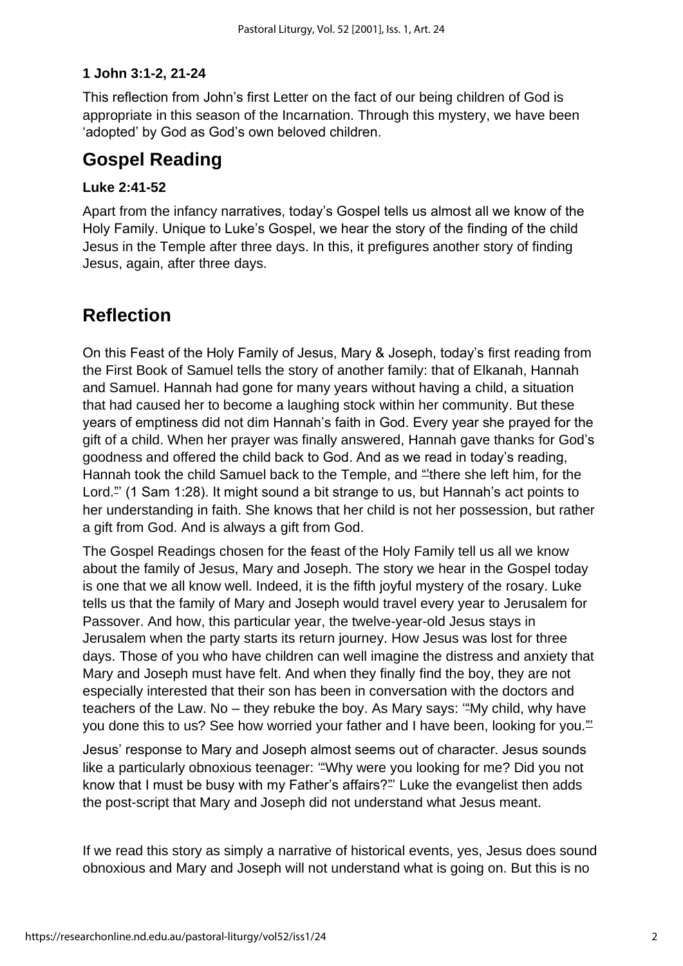### **1 John 3:1-2, 21-24**

This reflection from John's first Letter on the fact of our being children of God is appropriate in this season of the Incarnation. Through this mystery, we have been 'adopted' by God as God's own beloved children.

### **Gospel Reading**

### **Luke 2:41-52**

Apart from the infancy narratives, today's Gospel tells us almost all we know of the Holy Family. Unique to Luke's Gospel, we hear the story of the finding of the child Jesus in the Temple after three days. In this, it prefigures another story of finding Jesus, again, after three days.

### **Reflection**

On this Feast of the Holy Family of Jesus, Mary & Joseph, today's first reading from the First Book of Samuel tells the story of another family: that of Elkanah, Hannah and Samuel. Hannah had gone for many years without having a child, a situation that had caused her to become a laughing stock within her community. But these years of emptiness did not dim Hannah's faith in God. Every year she prayed for the gift of a child. When her prayer was finally answered, Hannah gave thanks for God's goodness and offered the child back to God. And as we read in today's reading, Hannah took the child Samuel back to the Temple, and "there she left him, for the Lord." (1 Sam 1:28). It might sound a bit strange to us, but Hannah's act points to her understanding in faith. She knows that her child is not her possession, but rather a gift from God. And is always a gift from God.

The Gospel Readings chosen for the feast of the Holy Family tell us all we know about the family of Jesus, Mary and Joseph. The story we hear in the Gospel today is one that we all know well. Indeed, it is the fifth joyful mystery of the rosary. Luke tells us that the family of Mary and Joseph would travel every year to Jerusalem for Passover. And how, this particular year, the twelve-year-old Jesus stays in Jerusalem when the party starts its return journey. How Jesus was lost for three days. Those of you who have children can well imagine the distress and anxiety that Mary and Joseph must have felt. And when they finally find the boy, they are not especially interested that their son has been in conversation with the doctors and teachers of the Law. No - they rebuke the boy. As Mary says: "My child, why have you done this to us? See how worried your father and I have been, looking for you."

Jesus' response to Mary and Joseph almost seems out of character. Jesus sounds like a particularly obnoxious teenager: "Why were you looking for me? Did you not know that I must be busy with my Father's affairs?"' Luke the evangelist then adds the post-script that Mary and Joseph did not understand what Jesus meant.

If we read this story as simply a narrative of historical events, yes, Jesus does sound obnoxious and Mary and Joseph will not understand what is going on. But this is no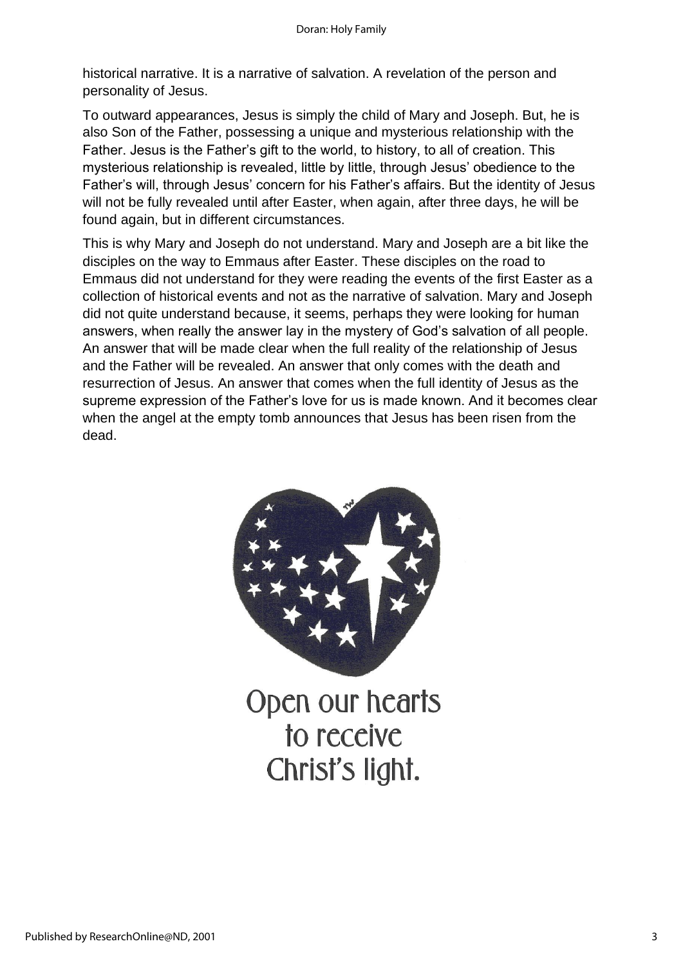historical narrative. It is a narrative of salvation. A revelation of the person and personality of Jesus.

To outward appearances, Jesus is simply the child of Mary and Joseph. But, he is also Son of the Father, possessing a unique and mysterious relationship with the Father. Jesus is the Father's gift to the world, to history, to all of creation. This mysterious relationship is revealed, little by little, through Jesus' obedience to the Father's will, through Jesus' concern for his Father's affairs. But the identity of Jesus will not be fully revealed until after Easter, when again, after three days, he will be found again, but in different circumstances.

This is why Mary and Joseph do not understand. Mary and Joseph are a bit like the disciples on the way to Emmaus after Easter. These disciples on the road to Emmaus did not understand for they were reading the events of the first Easter as a collection of historical events and not as the narrative of salvation. Mary and Joseph did not quite understand because, it seems, perhaps they were looking for human answers, when really the answer lay in the mystery of God's salvation of all people. An answer that will be made clear when the full reality of the relationship of Jesus and the Father will be revealed. An answer that only comes with the death and resurrection of Jesus. An answer that comes when the full identity of Jesus as the supreme expression of the Father's love for us is made known. And it becomes clear when the angel at the empty tomb announces that Jesus has been risen from the dead.



Open our hearts to receive Christ's light.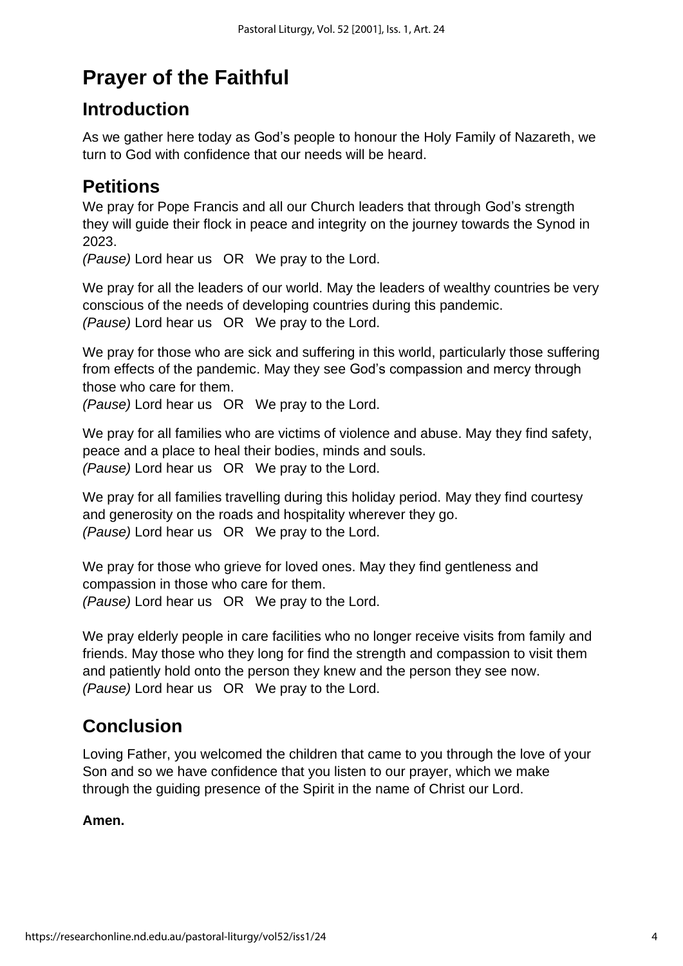## **Prayer of the Faithful**

### **Introduction**

As we gather here today as God's people to honour the Holy Family of Nazareth, we turn to God with confidence that our needs will be heard.

### **Petitions**

We pray for Pope Francis and all our Church leaders that through God's strength they will guide their flock in peace and integrity on the journey towards the Synod in 2023.

*(Pause)* Lord hear us OR We pray to the Lord.

We pray for all the leaders of our world. May the leaders of wealthy countries be very conscious of the needs of developing countries during this pandemic. *(Pause)* Lord hear us OR We pray to the Lord.

We pray for those who are sick and suffering in this world, particularly those suffering from effects of the pandemic. May they see God's compassion and mercy through those who care for them.

*(Pause)* Lord hear us OR We pray to the Lord.

We pray for all families who are victims of violence and abuse. May they find safety, peace and a place to heal their bodies, minds and souls. *(Pause)* Lord hear us OR We pray to the Lord.

We pray for all families travelling during this holiday period. May they find courtesy and generosity on the roads and hospitality wherever they go. *(Pause)* Lord hear us OR We pray to the Lord.

We pray for those who grieve for loved ones. May they find gentleness and compassion in those who care for them. *(Pause)* Lord hear us OR We pray to the Lord.

We pray elderly people in care facilities who no longer receive visits from family and friends. May those who they long for find the strength and compassion to visit them and patiently hold onto the person they knew and the person they see now. *(Pause)* Lord hear us OR We pray to the Lord.

## **Conclusion**

Loving Father, you welcomed the children that came to you through the love of your Son and so we have confidence that you listen to our prayer, which we make through the guiding presence of the Spirit in the name of Christ our Lord.

### **Amen.**